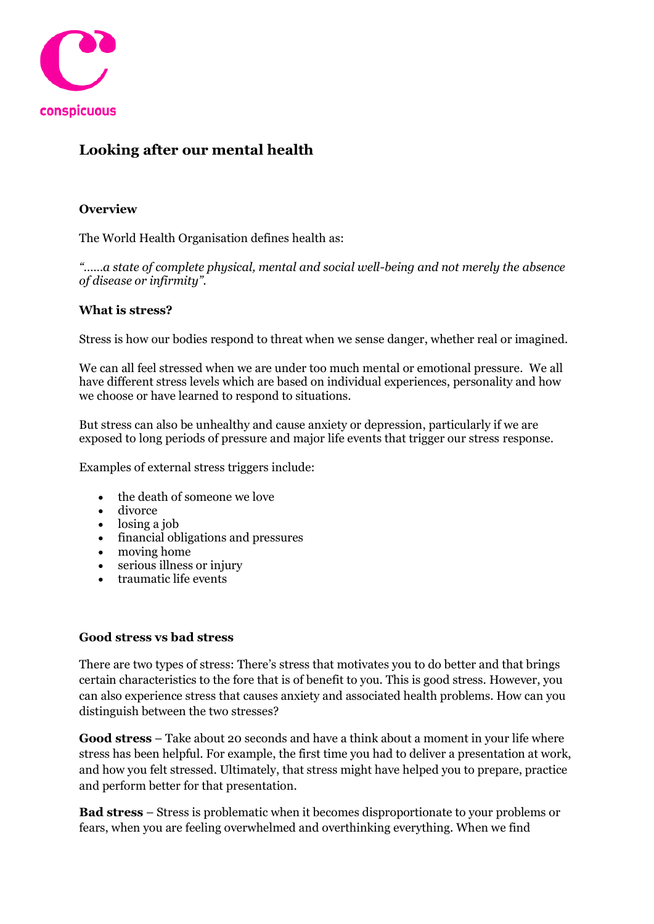

# **Looking after our mental health**

## **Overview**

The World Health Organisation defines health as:

*"……a state of complete physical, mental and social well-being and not merely the absence of disease or infirmity".*

## **What is stress?**

Stress is how our bodies respond to threat when we sense danger, whether real or imagined.

We can all feel stressed when we are under too much mental or emotional pressure. We all have different stress levels which are based on individual experiences, personality and how we choose or have learned to respond to situations.

But stress can also be unhealthy and cause anxiety or depression, particularly if we are exposed to long periods of pressure and major life events that trigger our stress response.

Examples of external stress triggers include:

- the death of someone we love
- divorce
- losing a job
- financial obligations and pressures
- moving home
- serious illness or injury
- traumatic life events

#### **Good stress vs bad stress**

There are two types of stress: There's stress that motivates you to do better and that brings certain characteristics to the fore that is of benefit to you. This is good stress. However, you can also experience stress that causes anxiety and associated health problems. How can you distinguish between the two stresses?

**Good stress** – Take about 20 seconds and have a think about a moment in your life where stress has been helpful. For example, the first time you had to deliver a presentation at work, and how you felt stressed. Ultimately, that stress might have helped you to prepare, practice and perform better for that presentation.

**Bad stress** – Stress is problematic when it becomes disproportionate to your problems or fears, when you are feeling overwhelmed and overthinking everything. When we find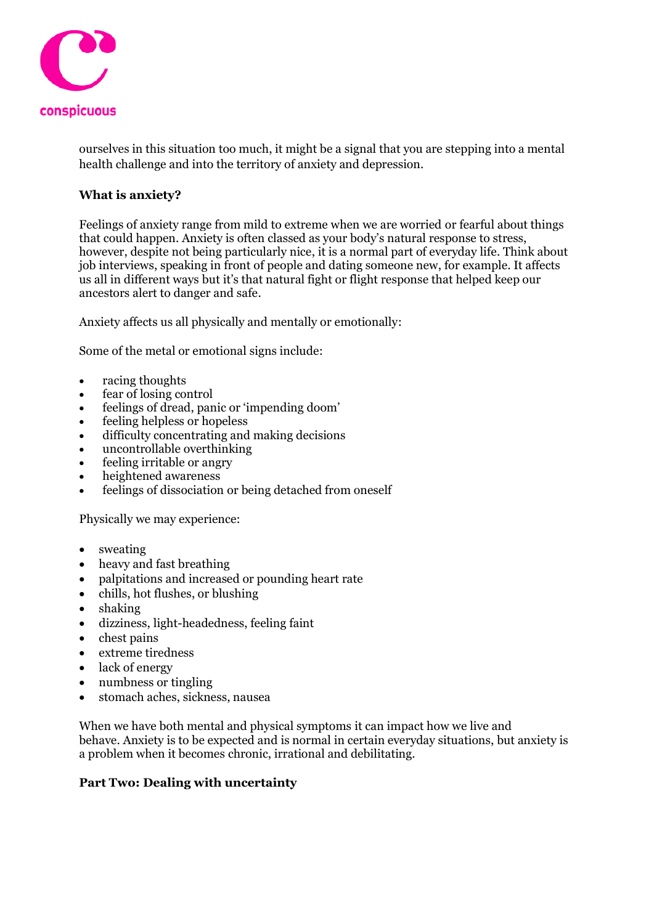

ourselves in this situation too much, it might be a signal that you are stepping into a mental health challenge and into the territory of anxiety and depression.

## **What is anxiety?**

Feelings of anxiety range from mild to extreme when we are worried or fearful about things that could happen. Anxiety is often classed as your body's natural response to stress, however, despite not being particularly nice, it is a normal part of everyday life. Think about job interviews, speaking in front of people and dating someone new, for example. It affects us all in different ways but it's that natural fight or flight response that helped keep our ancestors alert to danger and safe.

Anxiety affects us all physically and mentally or emotionally:

Some of the metal or emotional signs include:

- racing thoughts
- fear of losing control
- feelings of dread, panic or 'impending doom'
- feeling helpless or hopeless
- difficulty concentrating and making decisions
- uncontrollable overthinking
- feeling irritable or angry
- heightened awareness
- feelings of dissociation or being detached from oneself

Physically we may experience:

- sweating
- heavy and fast breathing
- palpitations and increased or pounding heart rate
- chills, hot flushes, or blushing
- shaking
- dizziness, light-headedness, feeling faint
- chest pains
- extreme tiredness
- lack of energy
- numbness or tingling
- stomach aches, sickness, nausea

When we have both mental and physical symptoms it can impact how we live and behave. Anxiety is to be expected and is normal in certain everyday situations, but anxiety is a problem when it becomes chronic, irrational and debilitating.

#### **Part Two: Dealing with uncertainty**